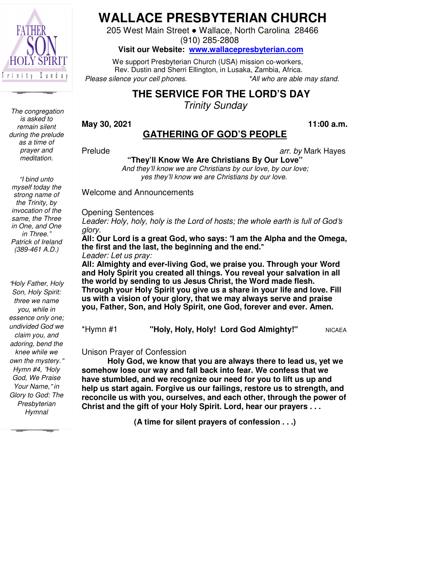

*The congregation is asked to remain silent during the prelude as a time of prayer and meditation.* 

# **WALLACE PRESBYTERIAN CHURCH**

205 West Main Main Street ● Wallace, North Carolina 28466

(910) 285-2808

**Visit our Website: Website: www.wallacepresbyterian.com**

 We support Presbyterian Presbyterian Church (USA) mission co-workers, Rev. Dustin and Sherri Ellington, in Lusaka, Zambia, Africa. *Please silence your cell phones.* \*All who are able may stand.

## **THE SERVICE SERVICE FOR THE LORD'S DAY**

*Trinity Sunday* 

**May 30, 2021** 

#### **GATHERING GATHERING OF GOD'S PEOPLE 11:00**

Prelude

*arr. by* Mark Hayes Hayes

**11:00 a.m.** 

**"They'll Know Know We Are Christians By Our Love"**

*And they'll know know we are Christians by our love, by our love; yes they'll they'll know we are Christians by our love.* 

Welcome and Announcements Announcements

Opening Sentences

Leader: Holy, holy, holy is the Lord of hosts; the whole earth is full of God's *glory.* 

**All: Our Lord is a great great God, who says:** "**I am the Alpha and the Omega, the first and the last, the the beginning and the end.**"

*Leader: Let us pray:* 

**All: Almighty and ever ever-living God, we praise you. Through your Word Word and Holy Spirit you created created all things. You reveal your salvation in in all**  the world by sending to us Jesus Christ, the Word made flesh. Through your Holy Spirit you give us a share in your life and love. Fill **us with a vision of your your glory, that we may always serve and praise you, Father, Son, and Holy Spirit, one God, forever and ever. Amen. Amen.**

| *Hymn #1 | "Holy, Holy, Holy! Lord God Almighty!" | <b>NICAEA</b> |
|----------|----------------------------------------|---------------|
|----------|----------------------------------------|---------------|

Unison Prayer of Confession

**Holy God, we know know that you are always there to lead us, yet yet we somehow lose our way way and fall back into fear. We confess that we have stumbled, and we we recognize our need for you to lift us up and** have stumbled, and we recognize our need for you to lift us up and<br>help us start again. Forgive us our failings, restore us to strength, and **reconcile us with you, you, ourselves, and each other, through the power power of** Christ and the gift of your Holy Spirit. Lord, hear our prayers . . .

**(A time for for silent prayers of confession . . .)** 

*"I bind unto myself today the strong name of the Trinity, by invocation of the same, the Three in One, and One in Three." Patrick of Ireland (389-461 A.D.)* 

"*Holy Father, Holy Son, Holy Spirit: three we name you, while in essence only one; undivided God we claim you, and adoring, bend the knee while we own the mystery.*" *Hymn #4,* "*Holy God, We Praise Your Name,*" *in Glory to God: The Presbyterian Hymnal*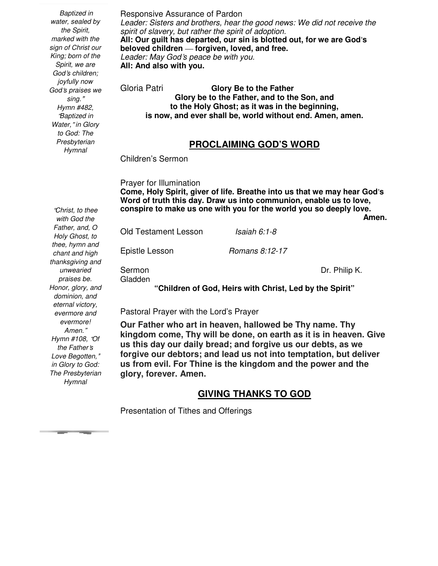Responsive Assurance of Pardon Leader: Sisters and brothers, hear the good news: We did not receive the *spirit of slavery, but rather the spirit of adoption.*  **All: Our guilt has departed, our sin is blotted out, for we are God**'**s beloved children** — **forgiven, loved, and free.**  *Leader: May God*'*s peace be with you.*  **All: And also with you.**  Gloria Patri **Glory Be to the Father Glory be to the Father, and to the Son, and to the Holy Ghost; as it was in the beginning, is now, and ever shall be, world without end. Amen, amen. PROCLAIMING GOD'S WORD**  Children's Sermon Prayer for Illumination **Come, Holy Spirit, giver of life. Breathe into us that we may hear God**'**s Word of truth this day. Draw us into communion, enable us to love, conspire to make us one with you for the world you so deeply love.**  *Amen.* **Amen.** Old Testament Lesson *Isaiah 6:1-8* Epistle Lesson *Romans 8:12-17* Sermon Dr. Philip K. Gladden **"Children of God, Heirs with Christ, Led by the Spirit"**   *Baptized in water, sealed by the Spirit, marked with the sign of Christ our King; born of the Spirit, we are God*'*s children; joyfully now God*'*s praises we sing.*" *Hymn #482,*  "*Baptized in Water,*" *in Glory to God: The Presbyterian Hymnal with God the unwearied praises be.* 

Pastoral Prayer with the Lord's Prayer

**Our Father who art in heaven, hallowed be Thy name. Thy kingdom come, Thy will be done, on earth as it is in heaven. Give us this day our daily bread; and forgive us our debts, as we forgive our debtors; and lead us not into temptation, but deliver us from evil. For Thine is the kingdom and the power and the glory, forever. Amen.** 

### **GIVING THANKS TO GOD**

Presentation of Tithes and Offerings

"*Christ, to thee Father, and, O Holy Ghost, to thee, hymn and chant and high thanksgiving and Honor, glory, and dominion, and eternal victory, evermore and evermore! Amen.*" *Hymn #108,* "*Of the Father*'*s Love Begotten,*" *in Glory to God: The Presbyterian Hymnal*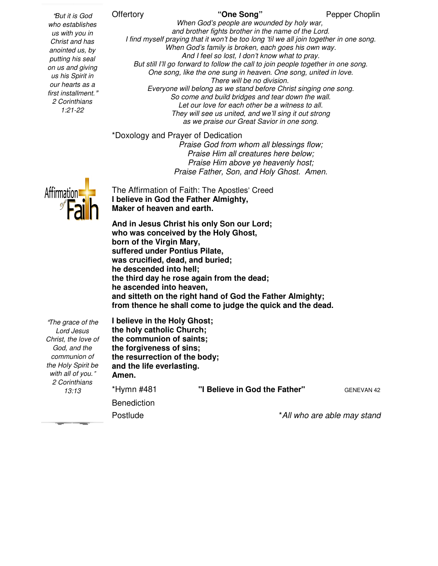#### **Offertory**

*who establishes us with you in Christ and has anointed us, by putting his seal on us and giving us his Spirit in our hearts as a first installment.*" *2 Corinthians 1:21-22* 

"*But it is God* 

*When God's God's people are wounded by holy war, and brother brother fights brother in the name of the Lord.* I find myself praying that it won't be too long 'til we all join together in one song. *When God's God's family is broken, each goes his own way. And I feel feel so lost, I don't know what to pray.* But still I'll go forward to follow the call to join people together in one song. *One song, like the the one sung in heaven. One song, united in love. Everyone will belong belong as we stand before Christ singing one song.* So come and build bridges and tear down the wall. *Let our love for each other be a witness to all. They will see see us united, and we'll sing it out strong as we praise our Great Savior in one song. There will be no division.* 

\*Doxology and Prayer of Dedication *Praise God from whom all blessings flow; Praise Praise Him all creatures here below; Praise Praise Him above ye heavenly host; Praise Father, Father, Son, and Holy Ghost. Amen.* 

The Affirmation of Faith: The The Apostles' Creed **I believe in God the Father Father Almighty, Maker of heaven and earth.** 

And in Jesus Christ his only Son our Lord; **who was conceived by the the Holy Ghost, born of the Virgin Mary, suffered under Pontius Pilate, Pilate, was crucified, dead, and and buried; he descended into hell; the third day he rose again again from the dead; he ascended into heaven,** he ascended into heaven,<br>and sitteth on the right hand of God the Father Almighty; **from thence he shall come come to judge the quick and the dead.** 

"*The grace of the Lord Jesus Christ, the love of God, and the communion of the Holy Spirit be with all of you.*" *2 Corinthians 13:13* 

 **the communion of saints; I believe in the Holy Ghost; the holy catholic Church; the forgiveness of sins; the resurrection of the body; and the life everlasting. Amen.**  \*Hymn #481 **"I Benediction** Postlude **Church;<br>if saints;<br>if sins;<br>isting.<br>"I Believe in God the Father" GENEVAN**  \**All who are able may stand* GENEVAN 42